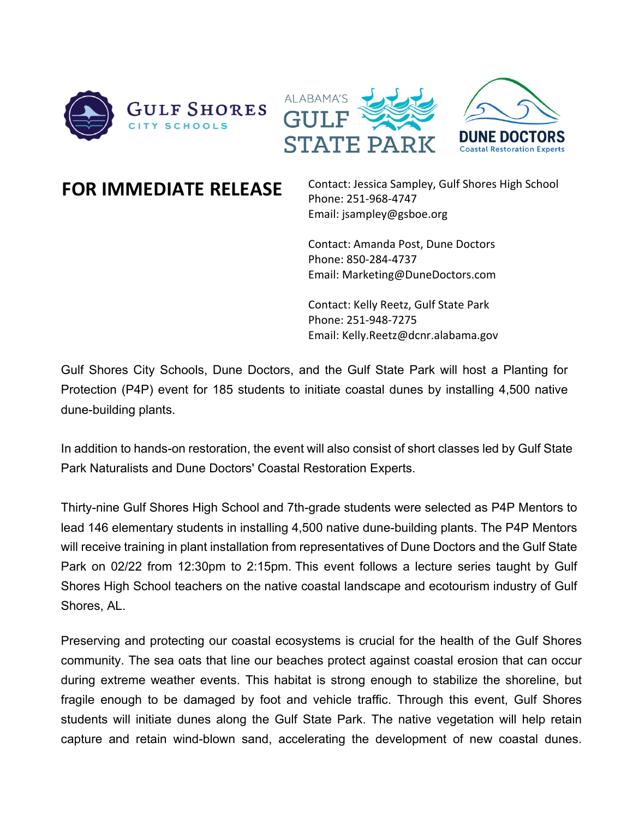



**FOR IMMEDIATE RELEASE** Contact: Jessica Sampley, Gulf Shores High School Phone: 251-968-4747 Email: jsampley@gsboe.org

> Contact: Amanda Post, Dune Doctors Phone: 850-284-4737 Email: Marketing@DuneDoctors.com

Contact: Kelly Reetz, Gulf State Park Phone: 251-948-7275 Email: Kelly.Reetz@dcnr.alabama.gov

Gulf Shores City Schools, Dune Doctors, and the Gulf State Park will host a Planting for Protection (P4P) event for 185 students to initiate coastal dunes by installing 4,500 native dune-building plants.

In addition to hands-on restoration, the event will also consist of short classes led by Gulf State Park Naturalists and Dune Doctors' Coastal Restoration Experts.

Thirty-nine Gulf Shores High School and 7th-grade students were selected as P4P Mentors to lead 146 elementary students in installing 4,500 native dune-building plants. The P4P Mentors will receive training in plant installation from representatives of Dune Doctors and the Gulf State Park on 02/22 from 12:30pm to 2:15pm. This event follows a lecture series taught by Gulf Shores High School teachers on the native coastal landscape and ecotourism industry of Gulf Shores, AL.

Preserving and protecting our coastal ecosystems is crucial for the health of the Gulf Shores community. The sea oats that line our beaches protect against coastal erosion that can occur during extreme weather events. This habitat is strong enough to stabilize the shoreline, but fragile enough to be damaged by foot and vehicle traffic. Through this event, Gulf Shores students will initiate dunes along the Gulf State Park. The native vegetation will help retain capture and retain wind-blown sand, accelerating the development of new coastal dunes.